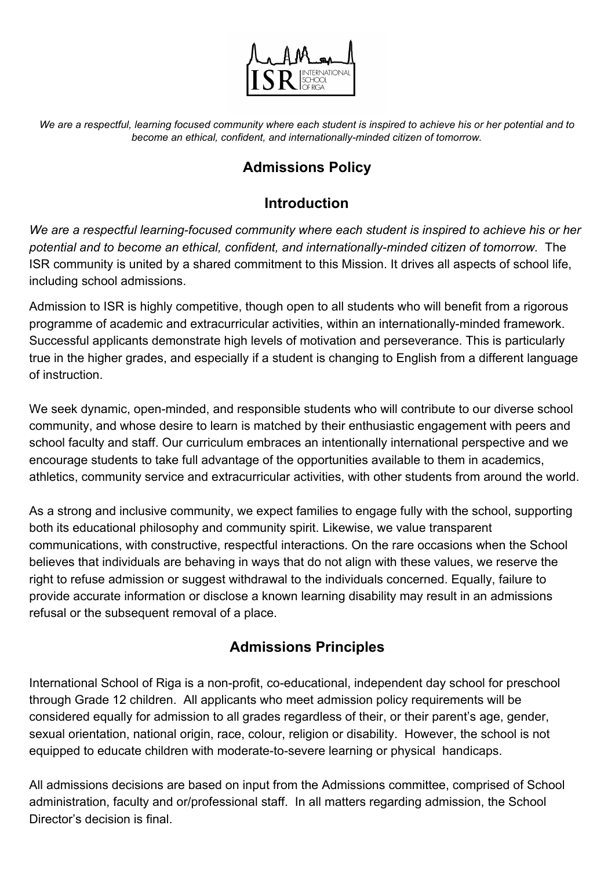

We are a respectful, learning focused community where each student is inspired to achieve his or her potential and to *become an ethical, confident, and internationally-minded citizen of tomorrow.*

# **Admissions Policy**

## **Introduction**

*We are a respectful learning-focused community where each student is inspired to achieve his or her potential and to become an ethical, confident, and internationally-minded citizen of tomorrow.* The ISR community is united by a shared commitment to this Mission. It drives all aspects of school life, including school admissions.

Admission to ISR is highly competitive, though open to all students who will benefit from a rigorous programme of academic and extracurricular activities, within an internationally-minded framework. Successful applicants demonstrate high levels of motivation and perseverance. This is particularly true in the higher grades, and especially if a student is changing to English from a different language of instruction.

We seek dynamic, open-minded, and responsible students who will contribute to our diverse school community, and whose desire to learn is matched by their enthusiastic engagement with peers and school faculty and staff. Our curriculum embraces an intentionally international perspective and we encourage students to take full advantage of the opportunities available to them in academics, athletics, community service and extracurricular activities, with other students from around the world.

As a strong and inclusive community, we expect families to engage fully with the school, supporting both its educational philosophy and community spirit. Likewise, we value transparent communications, with constructive, respectful interactions. On the rare occasions when the School believes that individuals are behaving in ways that do not align with these values, we reserve the right to refuse admission or suggest withdrawal to the individuals concerned. Equally, failure to provide accurate information or disclose a known learning disability may result in an admissions refusal or the subsequent removal of a place.

# **Admissions Principles**

International School of Riga is a non-profit, co-educational, independent day school for preschool through Grade 12 children. All applicants who meet admission policy requirements will be considered equally for admission to all grades regardless of their, or their parent's age, gender, sexual orientation, national origin, race, colour, religion or disability. However, the school is not equipped to educate children with moderate-to-severe learning or physical handicaps.

All admissions decisions are based on input from the Admissions committee, comprised of School administration, faculty and or/professional staff. In all matters regarding admission, the School Director's decision is final.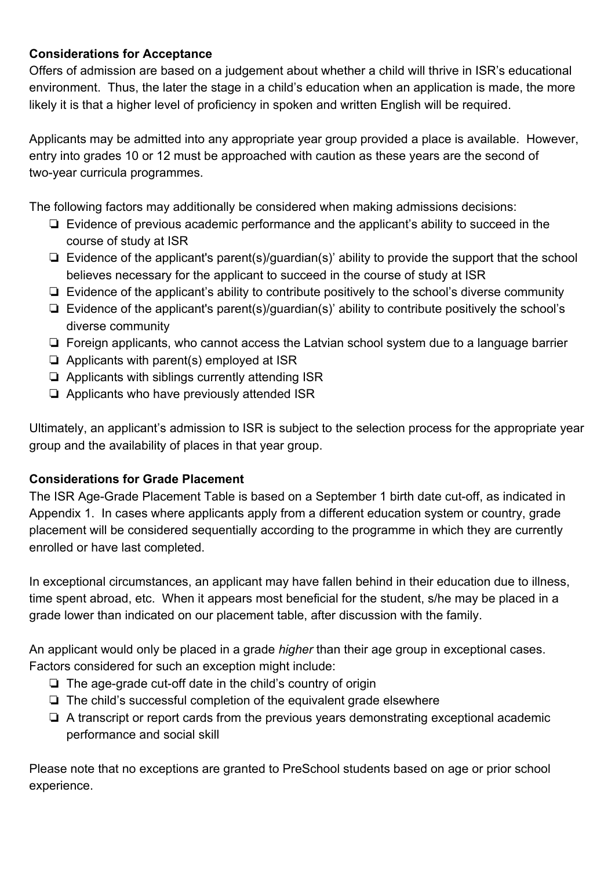#### **Considerations for Acceptance**

Offers of admission are based on a judgement about whether a child will thrive in ISR's educational environment. Thus, the later the stage in a child's education when an application is made, the more likely it is that a higher level of proficiency in spoken and written English will be required.

Applicants may be admitted into any appropriate year group provided a place is available. However, entry into grades 10 or 12 must be approached with caution as these years are the second of two-year curricula programmes.

The following factors may additionally be considered when making admissions decisions:

- ❏ Evidence of previous academic performance and the applicant's ability to succeed in the course of study at ISR
- ❏ Evidence of the applicant's parent(s)/guardian(s)' ability to provide the support that the school believes necessary for the applicant to succeed in the course of study at ISR
- ❏ Evidence of the applicant's ability to contribute positively to the school's diverse community
- ❏ Evidence of the applicant's parent(s)/guardian(s)' ability to contribute positively the school's diverse community
- ❏ Foreign applicants, who cannot access the Latvian school system due to a language barrier
- ❏ Applicants with parent(s) employed at ISR
- ❏ Applicants with siblings currently attending ISR
- ❏ Applicants who have previously attended ISR

Ultimately, an applicant's admission to ISR is subject to the selection process for the appropriate year group and the availability of places in that year group.

#### **Considerations for Grade Placement**

The ISR Age-Grade Placement Table is based on a September 1 birth date cut-off, as indicated in Appendix 1. In cases where applicants apply from a different education system or country, grade placement will be considered sequentially according to the programme in which they are currently enrolled or have last completed.

In exceptional circumstances, an applicant may have fallen behind in their education due to illness, time spent abroad, etc. When it appears most beneficial for the student, s/he may be placed in a grade lower than indicated on our placement table, after discussion with the family.

An applicant would only be placed in a grade *higher* than their age group in exceptional cases. Factors considered for such an exception might include:

- ❏ The age-grade cut-off date in the child's country of origin
- ❏ The child's successful completion of the equivalent grade elsewhere
- ❏ A transcript or report cards from the previous years demonstrating exceptional academic performance and social skill

Please note that no exceptions are granted to PreSchool students based on age or prior school experience.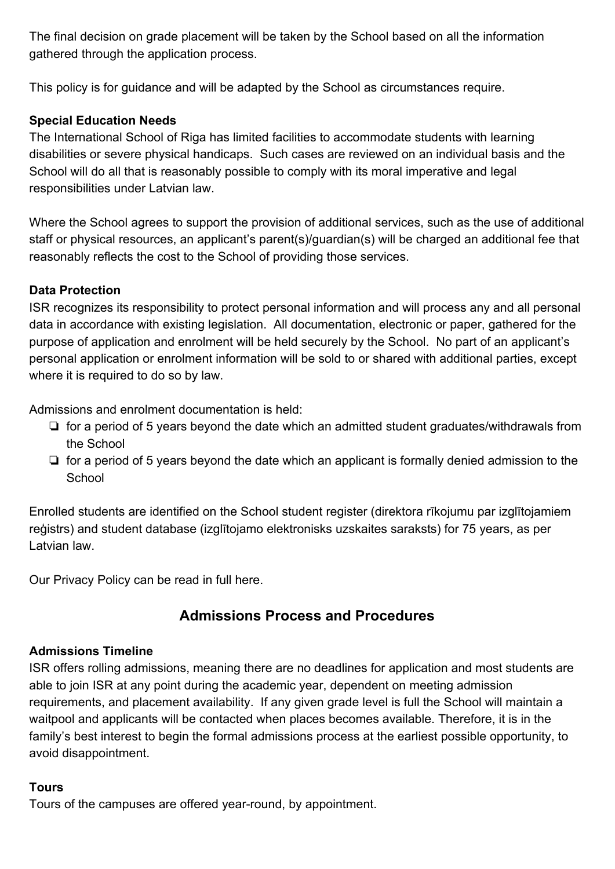The final decision on grade placement will be taken by the School based on all the information gathered through the application process.

This policy is for guidance and will be adapted by the School as circumstances require.

### **Special Education Needs**

The International School of Riga has limited facilities to accommodate students with learning disabilities or severe physical handicaps. Such cases are reviewed on an individual basis and the School will do all that is reasonably possible to comply with its moral imperative and legal responsibilities under Latvian law.

Where the School agrees to support the provision of additional services, such as the use of additional staff or physical resources, an applicant's parent(s)/guardian(s) will be charged an additional fee that reasonably reflects the cost to the School of providing those services.

### **Data Protection**

ISR recognizes its responsibility to protect personal information and will process any and all personal data in accordance with existing legislation. All documentation, electronic or paper, gathered for the purpose of application and enrolment will be held securely by the School. No part of an applicant's personal application or enrolment information will be sold to or shared with additional parties, except where it is required to do so by law.

Admissions and enrolment documentation is held:

- ❏ for a period of 5 years beyond the date which an admitted student graduates/withdrawals from the School
- ❏ for a period of 5 years beyond the date which an applicant is formally denied admission to the **School**

Enrolled students are identified on the School student register (direktora rīkojumu par izglītojamiem reģistrs) and student database (izglītojamo elektronisks uzskaites saraksts) for 75 years, as per Latvian law.

Our Privacy Policy can be read in full here.

## **Admissions Process and Procedures**

#### **Admissions Timeline**

ISR offers rolling admissions, meaning there are no deadlines for application and most students are able to join ISR at any point during the academic year, dependent on meeting admission requirements, and placement availability. If any given grade level is full the School will maintain a waitpool and applicants will be contacted when places becomes available. Therefore, it is in the family's best interest to begin the formal admissions process at the earliest possible opportunity, to avoid disappointment.

#### **Tours**

Tours of the campuses are offered year-round, by appointment.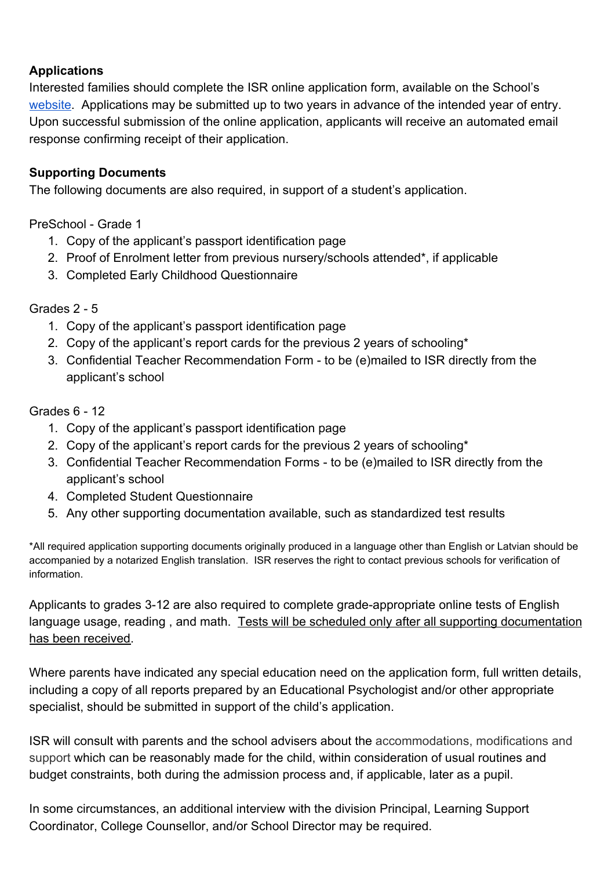#### **Applications**

Interested families should complete the ISR online application form, available on the School's [website](https://isriga.lv/admissions/how-to-apply/). Applications may be submitted up to two years in advance of the intended year of entry. Upon successful submission of the online application, applicants will receive an automated email response confirming receipt of their application.

#### **Supporting Documents**

The following documents are also required, in support of a student's application.

PreSchool - Grade 1

- 1. Copy of the applicant's passport identification page
- 2. Proof of Enrolment letter from previous nursery/schools attended\*, if applicable
- 3. Completed Early Childhood Questionnaire

Grades 2 - 5

- 1. Copy of the applicant's passport identification page
- 2. Copy of the applicant's report cards for the previous 2 years of schooling\*
- 3. Confidential Teacher Recommendation Form to be (e)mailed to ISR directly from the applicant's school

Grades 6 - 12

- 1. Copy of the applicant's passport identification page
- 2. Copy of the applicant's report cards for the previous 2 years of schooling\*
- 3. Confidential Teacher Recommendation Forms to be (e)mailed to ISR directly from the applicant's school
- 4. Completed Student Questionnaire
- 5. Any other supporting documentation available, such as standardized test results

\*All required application supporting documents originally produced in a language other than English or Latvian should be accompanied by a notarized English translation. ISR reserves the right to contact previous schools for verification of information.

Applicants to grades 3-12 are also required to complete grade-appropriate online tests of English language usage, reading, and math. Tests will be scheduled only after all supporting documentation has been received.

Where parents have indicated any special education need on the application form, full written details, including a copy of all reports prepared by an Educational Psychologist and/or other appropriate specialist, should be submitted in support of the child's application.

ISR will consult with parents and the school advisers about the accommodations, modifications and support which can be reasonably made for the child, within consideration of usual routines and budget constraints, both during the admission process and, if applicable, later as a pupil.

In some circumstances, an additional interview with the division Principal, Learning Support Coordinator, College Counsellor, and/or School Director may be required.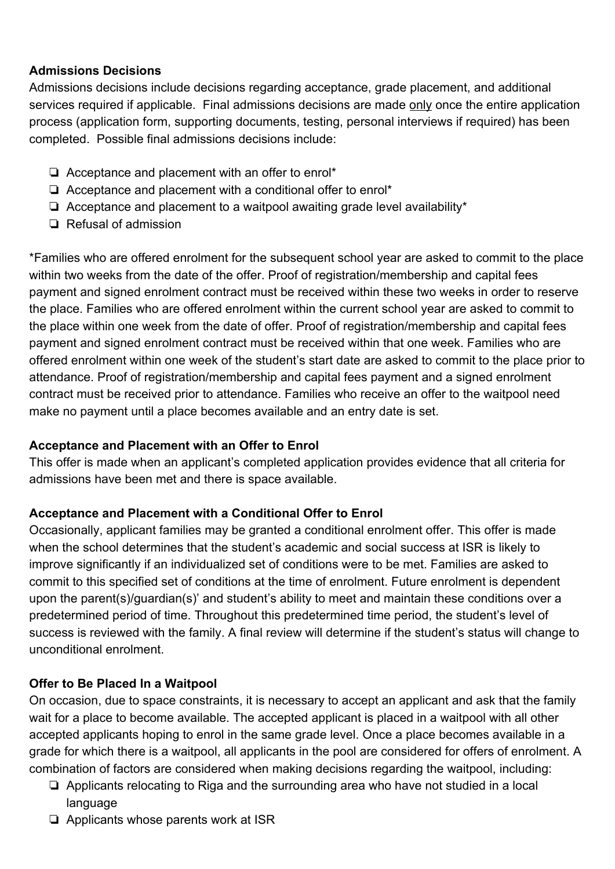#### **Admissions Decisions**

Admissions decisions include decisions regarding acceptance, grade placement, and additional services required if applicable. Final admissions decisions are made only once the entire application process (application form, supporting documents, testing, personal interviews if required) has been completed. Possible final admissions decisions include:

- ❏ Acceptance and placement with an offer to enrol\*
- ❏ Acceptance and placement with a conditional offer to enrol\*
- ❏ Acceptance and placement to a waitpool awaiting grade level availability\*
- ❏ Refusal of admission

\*Families who are offered enrolment for the subsequent school year are asked to commit to the place within two weeks from the date of the offer. Proof of registration/membership and capital fees payment and signed enrolment contract must be received within these two weeks in order to reserve the place. Families who are offered enrolment within the current school year are asked to commit to the place within one week from the date of offer. Proof of registration/membership and capital fees payment and signed enrolment contract must be received within that one week. Families who are offered enrolment within one week of the student's start date are asked to commit to the place prior to attendance. Proof of registration/membership and capital fees payment and a signed enrolment contract must be received prior to attendance. Families who receive an offer to the waitpool need make no payment until a place becomes available and an entry date is set.

#### **Acceptance and Placement with an Offer to Enrol**

This offer is made when an applicant's completed application provides evidence that all criteria for admissions have been met and there is space available.

#### **Acceptance and Placement with a Conditional Offer to Enrol**

Occasionally, applicant families may be granted a conditional enrolment offer. This offer is made when the school determines that the student's academic and social success at ISR is likely to improve significantly if an individualized set of conditions were to be met. Families are asked to commit to this specified set of conditions at the time of enrolment. Future enrolment is dependent upon the parent(s)/guardian(s)' and student's ability to meet and maintain these conditions over a predetermined period of time. Throughout this predetermined time period, the student's level of success is reviewed with the family. A final review will determine if the student's status will change to unconditional enrolment.

#### **Offer to Be Placed In a Waitpool**

On occasion, due to space constraints, it is necessary to accept an applicant and ask that the family wait for a place to become available. The accepted applicant is placed in a waitpool with all other accepted applicants hoping to enrol in the same grade level. Once a place becomes available in a grade for which there is a waitpool, all applicants in the pool are considered for offers of enrolment. A combination of factors are considered when making decisions regarding the waitpool, including:

- ❏ Applicants relocating to Riga and the surrounding area who have not studied in a local language
- ❏ Applicants whose parents work at ISR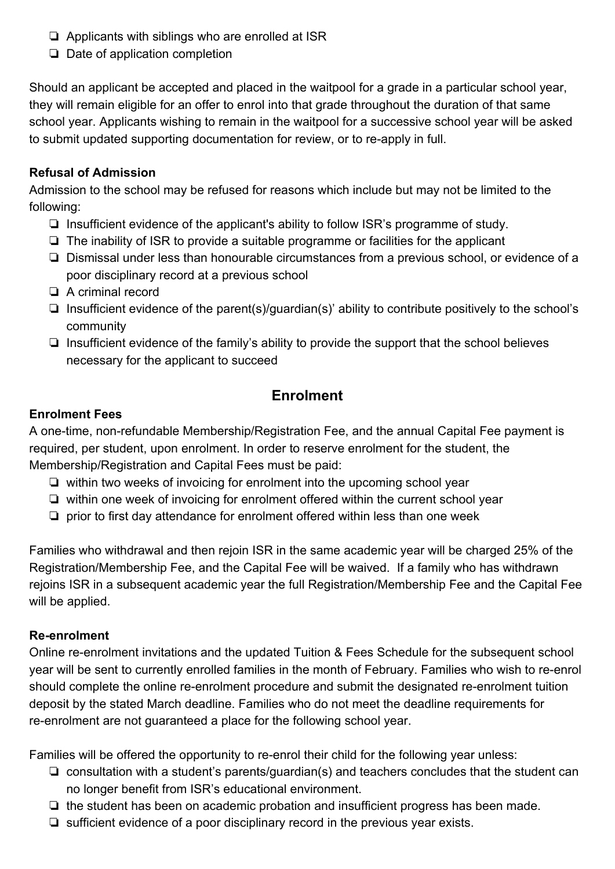- ❏ Applicants with siblings who are enrolled at ISR
- ❏ Date of application completion

Should an applicant be accepted and placed in the waitpool for a grade in a particular school year, they will remain eligible for an offer to enrol into that grade throughout the duration of that same school year. Applicants wishing to remain in the waitpool for a successive school year will be asked to submit updated supporting documentation for review, or to re-apply in full.

### **Refusal of Admission**

Admission to the school may be refused for reasons which include but may not be limited to the following:

- ❏ Insufficient evidence of the applicant's ability to follow ISR's programme of study.
- ❏ The inability of ISR to provide a suitable programme or facilities for the applicant
- ❏ Dismissal under less than honourable circumstances from a previous school, or evidence of a poor disciplinary record at a previous school
- ❏ A criminal record
- ❏ Insufficient evidence of the parent(s)/guardian(s)' ability to contribute positively to the school's community
- ❏ Insufficient evidence of the family's ability to provide the support that the school believes necessary for the applicant to succeed

## **Enrolment**

### **Enrolment Fees**

A one-time, non-refundable Membership/Registration Fee, and the annual Capital Fee payment is required, per student, upon enrolment. In order to reserve enrolment for the student, the Membership/Registration and Capital Fees must be paid:

- ❏ within two weeks of invoicing for enrolment into the upcoming school year
- ❏ within one week of invoicing for enrolment offered within the current school year
- ❏ prior to first day attendance for enrolment offered within less than one week

Families who withdrawal and then rejoin ISR in the same academic year will be charged 25% of the Registration/Membership Fee, and the Capital Fee will be waived. If a family who has withdrawn rejoins ISR in a subsequent academic year the full Registration/Membership Fee and the Capital Fee will be applied.

#### **Re-enrolment**

Online re-enrolment invitations and the updated Tuition & Fees Schedule for the subsequent school year will be sent to currently enrolled families in the month of February. Families who wish to re-enrol should complete the online re-enrolment procedure and submit the designated re-enrolment tuition deposit by the stated March deadline. Families who do not meet the deadline requirements for re-enrolment are not guaranteed a place for the following school year.

Families will be offered the opportunity to re-enrol their child for the following year unless:

- ❏ consultation with a student's parents/guardian(s) and teachers concludes that the student can no longer benefit from ISR's educational environment.
- ❏ the student has been on academic probation and insufficient progress has been made.
- ❏ sufficient evidence of a poor disciplinary record in the previous year exists.